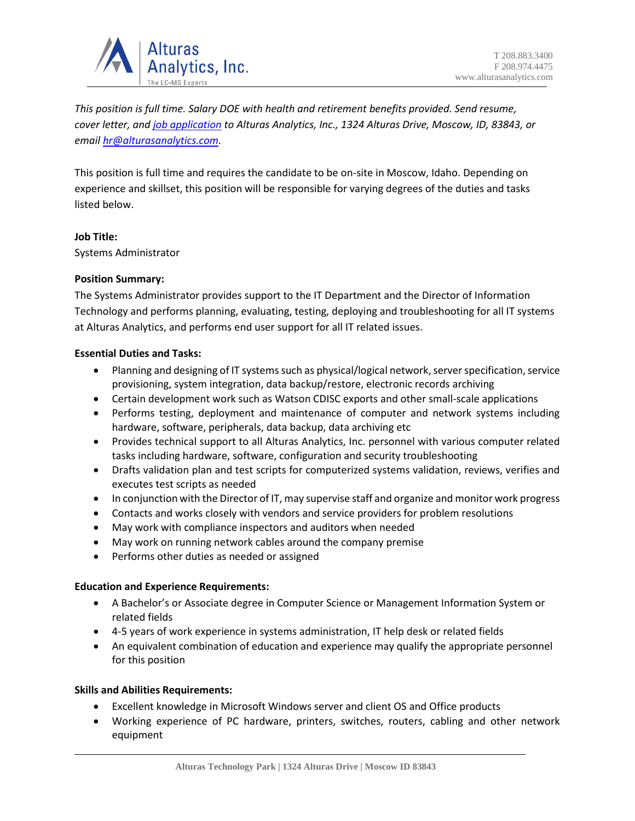

*This position is full time. Salary DOE with health and retirement benefits provided. Send resume, cover letter, an[d job application](https://alturasanalytics.com/media/41140/alturas-job-application-form.pdf) to Alturas Analytics, Inc., 1324 Alturas Drive, Moscow, ID, 83843, or email [hr@alturasanalytics.com.](mailto:hr@alturasanalytics.com)*

This position is full time and requires the candidate to be on-site in Moscow, Idaho. Depending on experience and skillset, this position will be responsible for varying degrees of the duties and tasks listed below.

# **Job Title:**

Systems Administrator

# **Position Summary:**

The Systems Administrator provides support to the IT Department and the Director of Information Technology and performs planning, evaluating, testing, deploying and troubleshooting for all IT systems at Alturas Analytics, and performs end user support for all IT related issues.

# **Essential Duties and Tasks:**

- Planning and designing of IT systems such as physical/logical network, server specification, service provisioning, system integration, data backup/restore, electronic records archiving
- Certain development work such as Watson CDISC exports and other small-scale applications
- Performs testing, deployment and maintenance of computer and network systems including hardware, software, peripherals, data backup, data archiving etc
- Provides technical support to all Alturas Analytics, Inc. personnel with various computer related tasks including hardware, software, configuration and security troubleshooting
- Drafts validation plan and test scripts for computerized systems validation, reviews, verifies and executes test scripts as needed
- In conjunction with the Director of IT, may supervise staff and organize and monitor work progress
- Contacts and works closely with vendors and service providers for problem resolutions
- May work with compliance inspectors and auditors when needed
- May work on running network cables around the company premise
- Performs other duties as needed or assigned

# **Education and Experience Requirements:**

- A Bachelor's or Associate degree in Computer Science or Management Information System or related fields
- 4-5 years of work experience in systems administration, IT help desk or related fields
- An equivalent combination of education and experience may qualify the appropriate personnel for this position

# **Skills and Abilities Requirements:**

- Excellent knowledge in Microsoft Windows server and client OS and Office products
- Working experience of PC hardware, printers, switches, routers, cabling and other network equipment